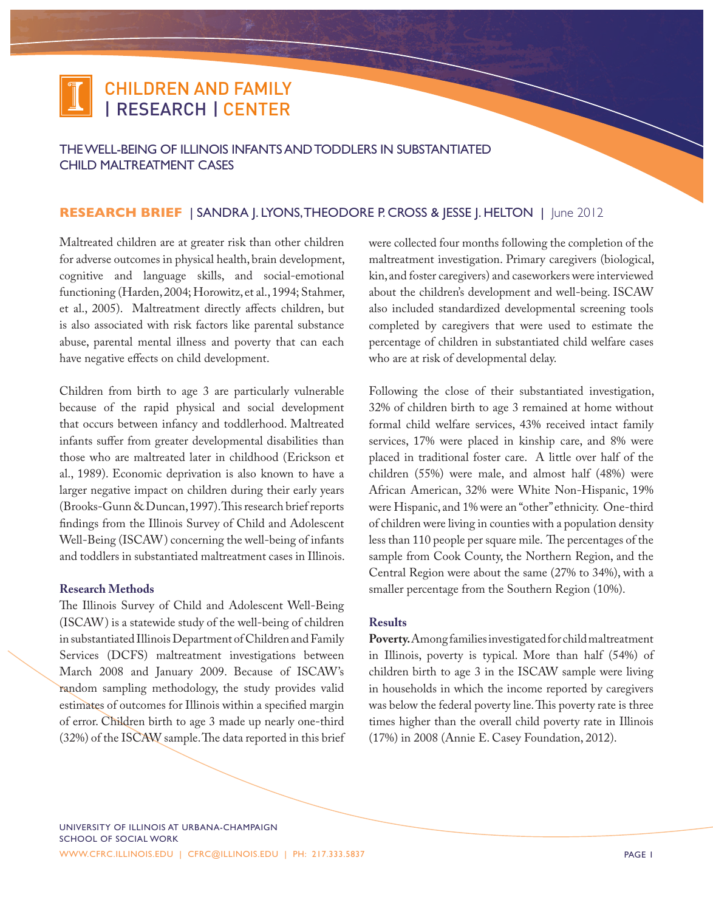## CHILDREN AND FAMILY | RESEARCH | CENTER

The Well-Being of Illinois Infants and Toddlers in Substantiated Child Maltreatment Cases

## **RESEARCH BRIEF** | SANDRA | LYONS, THEODORE P. CROSS & JESSE | HELTON | June 2012

Maltreated children are at greater risk than other children for adverse outcomes in physical health, brain development, cognitive and language skills, and social-emotional functioning (Harden, 2004; Horowitz, et al., 1994; Stahmer, et al., 2005). Maltreatment directly affects children, but is also associated with risk factors like parental substance abuse, parental mental illness and poverty that can each have negative effects on child development.

Children from birth to age 3 are particularly vulnerable because of the rapid physical and social development that occurs between infancy and toddlerhood. Maltreated infants suffer from greater developmental disabilities than those who are maltreated later in childhood (Erickson et al., 1989). Economic deprivation is also known to have a larger negative impact on children during their early years (Brooks-Gunn & Duncan, 1997). This research brief reports findings from the Illinois Survey of Child and Adolescent Well-Being (ISCAW) concerning the well-being of infants and toddlers in substantiated maltreatment cases in Illinois.

### **Research Methods**

The Illinois Survey of Child and Adolescent Well-Being (ISCAW) is a statewide study of the well-being of children in substantiated Illinois Department of Children and Family Services (DCFS) maltreatment investigations between March 2008 and January 2009. Because of ISCAW's random sampling methodology, the study provides valid estimates of outcomes for Illinois within a specified margin of error. Children birth to age 3 made up nearly one-third (32%) of the ISCAW sample. The data reported in this brief were collected four months following the completion of the maltreatment investigation. Primary caregivers (biological, kin, and foster caregivers) and caseworkers were interviewed about the children's development and well-being. ISCAW also included standardized developmental screening tools completed by caregivers that were used to estimate the percentage of children in substantiated child welfare cases who are at risk of developmental delay.

Following the close of their substantiated investigation, 32% of children birth to age 3 remained at home without formal child welfare services, 43% received intact family services, 17% were placed in kinship care, and 8% were placed in traditional foster care. A little over half of the children (55%) were male, and almost half (48%) were African American, 32% were White Non-Hispanic, 19% were Hispanic, and 1% were an "other" ethnicity. One-third of children were living in counties with a population density less than 110 people per square mile. The percentages of the sample from Cook County, the Northern Region, and the Central Region were about the same (27% to 34%), with a smaller percentage from the Southern Region (10%).

### **Results**

**Poverty.** Among families investigated for child maltreatment in Illinois, poverty is typical. More than half (54%) of children birth to age 3 in the ISCAW sample were living in households in which the income reported by caregivers was below the federal poverty line. This poverty rate is three times higher than the overall child poverty rate in Illinois (17%) in 2008 (Annie E. Casey Foundation, 2012).

University of Illinois at Urbana-Champaign school of social work www.cfrc.illinois.edu | cfrc@illinois.edu | Ph: 217.333.5837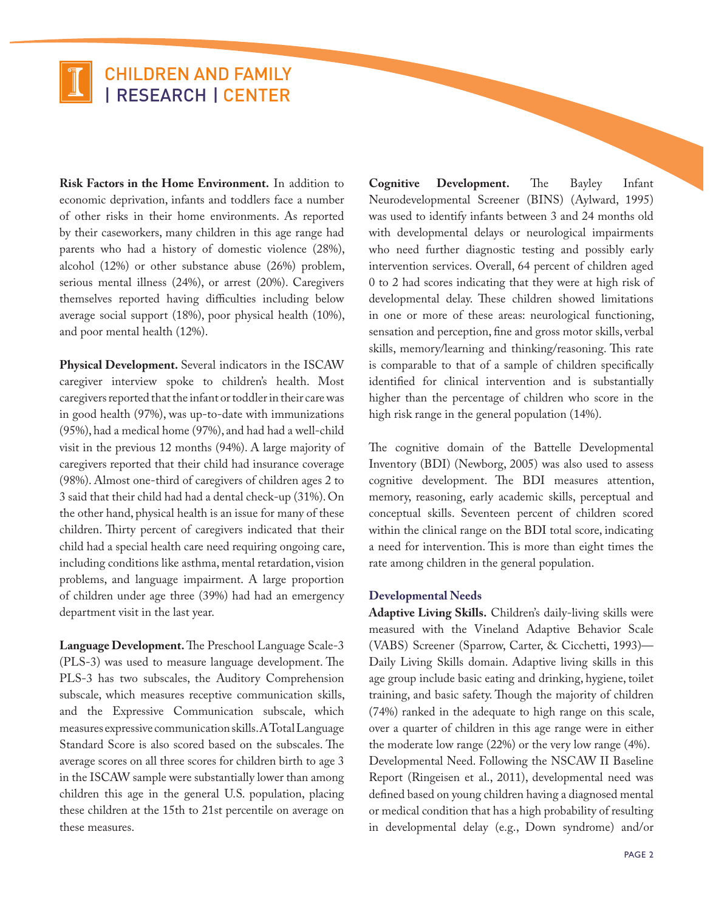# CHILDREN AND FAMILY | RESEARCH | CENTER

**Risk Factors in the Home Environment.** In addition to economic deprivation, infants and toddlers face a number of other risks in their home environments. As reported by their caseworkers, many children in this age range had parents who had a history of domestic violence (28%), alcohol (12%) or other substance abuse (26%) problem, serious mental illness (24%), or arrest (20%). Caregivers themselves reported having difficulties including below average social support (18%), poor physical health (10%), and poor mental health (12%).

**Physical Development.** Several indicators in the ISCAW caregiver interview spoke to children's health. Most caregivers reported that the infant or toddler in their care was in good health (97%), was up-to-date with immunizations (95%), had a medical home (97%), and had had a well-child visit in the previous 12 months (94%). A large majority of caregivers reported that their child had insurance coverage (98%). Almost one-third of caregivers of children ages 2 to 3 said that their child had had a dental check-up (31%). On the other hand, physical health is an issue for many of these children. Thirty percent of caregivers indicated that their child had a special health care need requiring ongoing care, including conditions like asthma, mental retardation, vision problems, and language impairment. A large proportion of children under age three (39%) had had an emergency department visit in the last year.

**Language Development.** The Preschool Language Scale-3 (PLS-3) was used to measure language development. The PLS-3 has two subscales, the Auditory Comprehension subscale, which measures receptive communication skills, and the Expressive Communication subscale, which measures expressive communication skills. A Total Language Standard Score is also scored based on the subscales. The average scores on all three scores for children birth to age 3 in the ISCAW sample were substantially lower than among children this age in the general U.S. population, placing these children at the 15th to 21st percentile on average on these measures.

**Cognitive Development.** The Bayley Infant Neurodevelopmental Screener (BINS) (Aylward, 1995) was used to identify infants between 3 and 24 months old with developmental delays or neurological impairments who need further diagnostic testing and possibly early intervention services. Overall, 64 percent of children aged 0 to 2 had scores indicating that they were at high risk of developmental delay. These children showed limitations in one or more of these areas: neurological functioning, sensation and perception, fine and gross motor skills, verbal skills, memory/learning and thinking/reasoning. This rate is comparable to that of a sample of children specifically identified for clinical intervention and is substantially higher than the percentage of children who score in the high risk range in the general population (14%).

The cognitive domain of the Battelle Developmental Inventory (BDI) (Newborg, 2005) was also used to assess cognitive development. The BDI measures attention, memory, reasoning, early academic skills, perceptual and conceptual skills. Seventeen percent of children scored within the clinical range on the BDI total score, indicating a need for intervention. This is more than eight times the rate among children in the general population.

## **Developmental Needs**

**Adaptive Living Skills.** Children's daily-living skills were measured with the Vineland Adaptive Behavior Scale (VABS) Screener (Sparrow, Carter, & Cicchetti, 1993)— Daily Living Skills domain. Adaptive living skills in this age group include basic eating and drinking, hygiene, toilet training, and basic safety. Though the majority of children (74%) ranked in the adequate to high range on this scale, over a quarter of children in this age range were in either the moderate low range (22%) or the very low range (4%). Developmental Need. Following the NSCAW II Baseline Report (Ringeisen et al., 2011), developmental need was defined based on young children having a diagnosed mental or medical condition that has a high probability of resulting in developmental delay (e.g., Down syndrome) and/or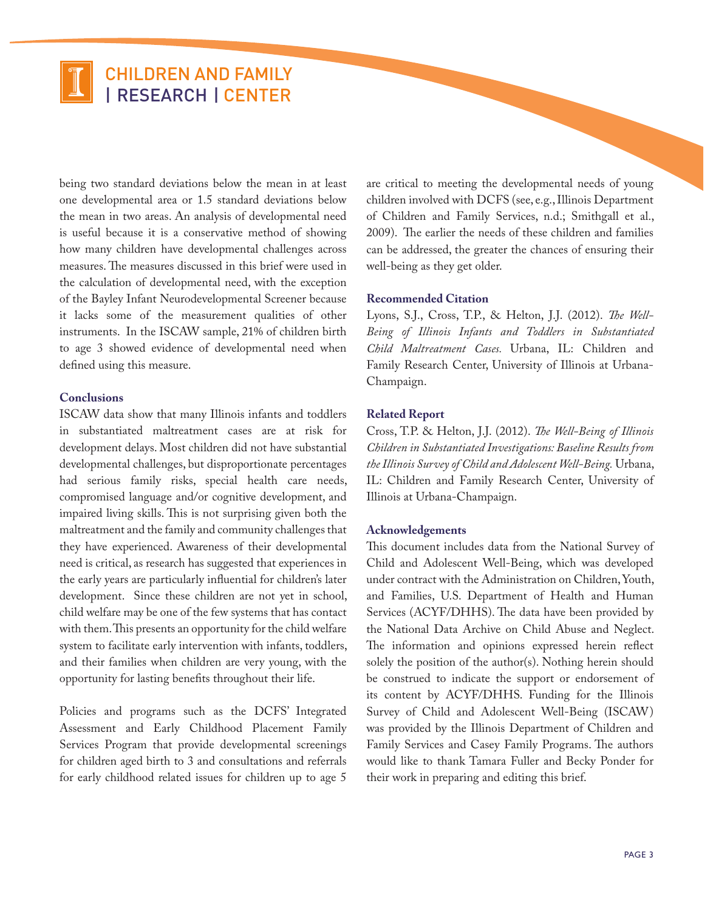## CHILDREN AND FAMILY | RESEARCH | CENTER

being two standard deviations below the mean in at least one developmental area or 1.5 standard deviations below the mean in two areas. An analysis of developmental need is useful because it is a conservative method of showing how many children have developmental challenges across measures. The measures discussed in this brief were used in the calculation of developmental need, with the exception of the Bayley Infant Neurodevelopmental Screener because it lacks some of the measurement qualities of other instruments. In the ISCAW sample, 21% of children birth to age 3 showed evidence of developmental need when defined using this measure.

### **Conclusions**

ISCAW data show that many Illinois infants and toddlers in substantiated maltreatment cases are at risk for development delays. Most children did not have substantial developmental challenges, but disproportionate percentages had serious family risks, special health care needs, compromised language and/or cognitive development, and impaired living skills. This is not surprising given both the maltreatment and the family and community challenges that they have experienced. Awareness of their developmental need is critical, as research has suggested that experiences in the early years are particularly influential for children's later development. Since these children are not yet in school, child welfare may be one of the few systems that has contact with them. This presents an opportunity for the child welfare system to facilitate early intervention with infants, toddlers, and their families when children are very young, with the opportunity for lasting benefits throughout their life.

Policies and programs such as the DCFS' Integrated Assessment and Early Childhood Placement Family Services Program that provide developmental screenings for children aged birth to 3 and consultations and referrals for early childhood related issues for children up to age 5 are critical to meeting the developmental needs of young children involved with DCFS (see, e.g., Illinois Department of Children and Family Services, n.d.; Smithgall et al., 2009). The earlier the needs of these children and families can be addressed, the greater the chances of ensuring their well-being as they get older.

#### **Recommended Citation**

Lyons, S.J., Cross, T.P., & Helton, J.J. (2012). *The Well-Being of Illinois Infants and Toddlers in Substantiated Child Maltreatment Cases.* Urbana, IL: Children and Family Research Center, University of Illinois at Urbana-Champaign.

#### **Related Report**

Cross, T.P. & Helton, J.J. (2012). *The Well-Being of Illinois Children in Substantiated Investigations: Baseline Results from the Illinois Survey of Child and Adolescent Well-Being.* Urbana, IL: Children and Family Research Center, University of Illinois at Urbana-Champaign.

#### **Acknowledgements**

This document includes data from the National Survey of Child and Adolescent Well-Being, which was developed under contract with the Administration on Children, Youth, and Families, U.S. Department of Health and Human Services (ACYF/DHHS). The data have been provided by the National Data Archive on Child Abuse and Neglect. The information and opinions expressed herein reflect solely the position of the author(s). Nothing herein should be construed to indicate the support or endorsement of its content by ACYF/DHHS. Funding for the Illinois Survey of Child and Adolescent Well-Being (ISCAW) was provided by the Illinois Department of Children and Family Services and Casey Family Programs. The authors would like to thank Tamara Fuller and Becky Ponder for their work in preparing and editing this brief.